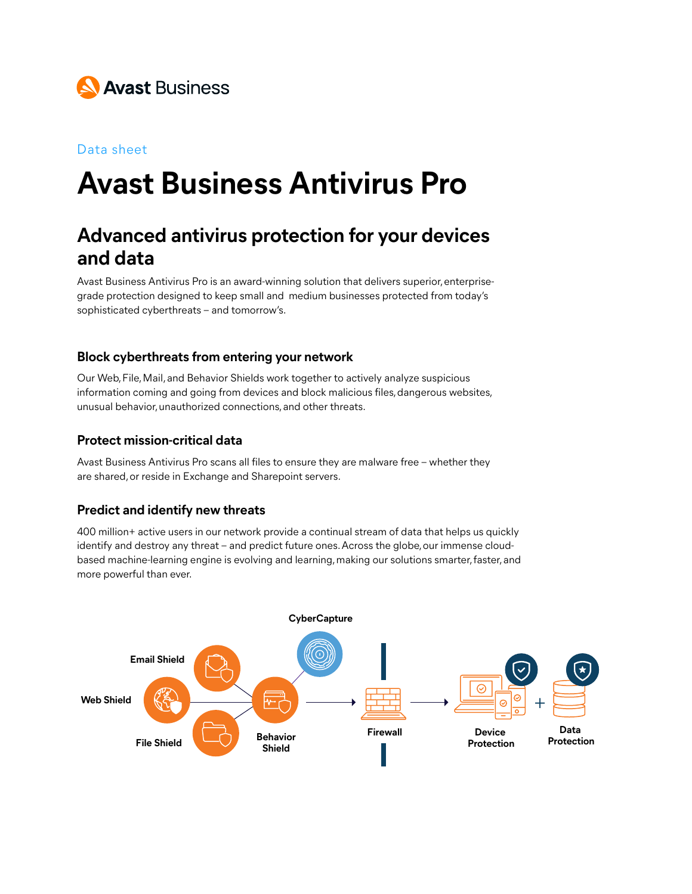

#### Data sheet

# **Avast Business Antivirus Pro**

# **Advanced antivirus protection for your devices and data**

Avast Business Antivirus Pro is an award-winning solution that delivers superior, enterprisegrade protection designed to keep small and medium businesses protected from today's sophisticated cyberthreats – and tomorrow's.

#### **Block cyberthreats from entering your network**

Our Web, File, Mail, and Behavior Shields work together to actively analyze suspicious **Email Shield** information coming and going from devices and block malicious files, dangerous websites, unusual behavior, unauthorized connections, and other threats.

## Protect mission-critical data

Avast Business Antivirus Pro scans all files to ensure they are malware free – whether they **Shield** are shared, or reside in Exchange and Sharepoint servers.

#### **Predict and identify new threats**

400 million+ active users in our network provide a continual stream of data that helps us quickly identify and destroy any threat – and predict future ones. Across the globe, our immense cloudbased machine-learning engine is evolving and learning, making our solutions smarter, faster, and more powerful than ever.

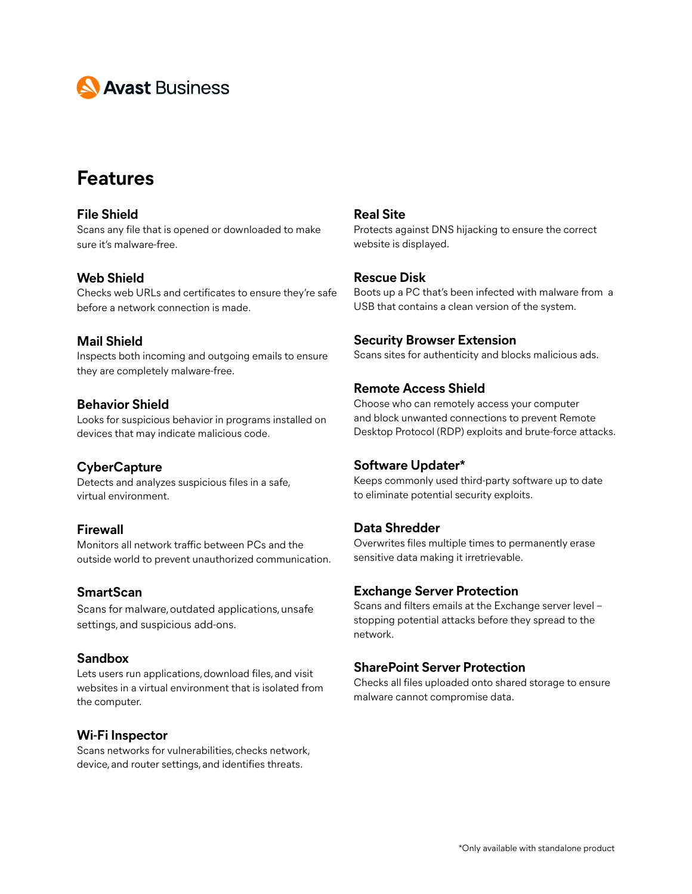

# **Features**

#### **File Shield** Scans any file that is opened or downloaded to make sure it's malware-free.

#### **Web Shield**

Checks web URLs and certificates to ensure they're safe before a network connection is made.

#### **Mail Shield**

Inspects both incoming and outgoing emails to ensure they are completely malware-free.

#### **Behavior Shield**

Looks for suspicious behavior in programs installed on devices that may indicate malicious code.

#### **CyberCapture**

Detects and analyzes suspicious files in a safe, virtual environment.

#### **Firewall**

Monitors all network traffic between PCs and the outside world to prevent unauthorized communication.

#### **SmartScan**

Scans for malware, outdated applications, unsafe settings, and suspicious add-ons.

#### **Sandbox**

Lets users run applications, download files, and visit websites in a virtual environment that is isolated from the computer.

#### **Wi-Fi Inspector**

Scans networks for vulnerabilities, checks network, device, and router settings, and identifies threats.

#### **Real Site**

Protects against DNS hijacking to ensure the correct website is displayed.

#### **Rescue Disk**

Boots up a PC that's been infected with malware from a USB that contains a clean version of the system.

#### **Security Browser Extension**

Scans sites for authenticity and blocks malicious ads.

#### **Remote Access Shield**

Choose who can remotely access your computer and block unwanted connections to prevent Remote Desktop Protocol (RDP) exploits and brute-force attacks.

#### **Software Updater\***

Keeps commonly used third-party software up to date to eliminate potential security exploits.

#### **Data Shredder**

Overwrites files multiple times to permanently erase sensitive data making it irretrievable.

#### **Exchange Server Protection**

Scans and filters emails at the Exchange server level – stopping potential attacks before they spread to the network.

#### **SharePoint Server Protection**

Checks all files uploaded onto shared storage to ensure malware cannot compromise data.